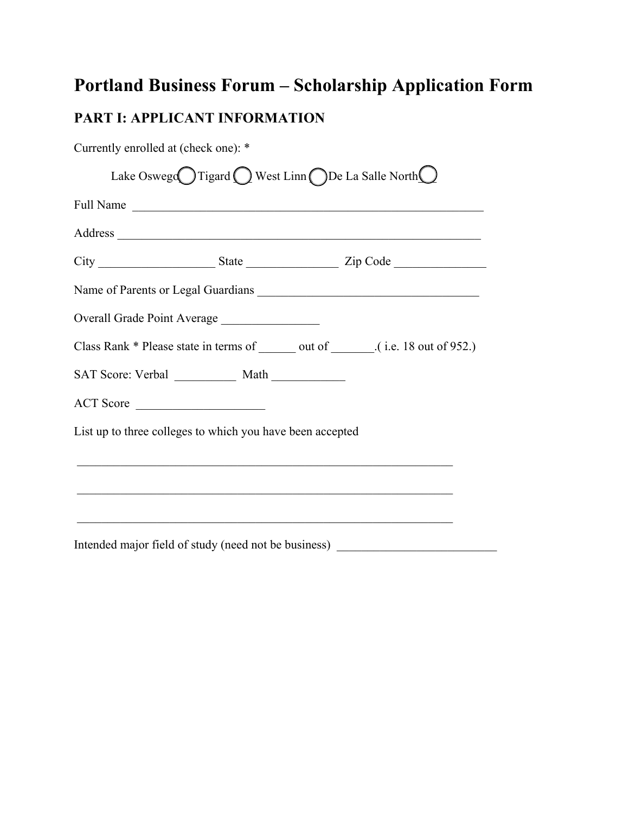# **Portland Business Forum – Scholarship Application Form**

# **PART I: APPLICANT INFORMATION**

| Currently enrolled at (check one): * |                                                           |                                                                                                                        |
|--------------------------------------|-----------------------------------------------------------|------------------------------------------------------------------------------------------------------------------------|
|                                      |                                                           | Lake Oswego Tigard $\bigcirc$ West Linn $\bigcirc$ De La Salle North $\bigcirc$                                        |
|                                      |                                                           | Full Name                                                                                                              |
|                                      |                                                           |                                                                                                                        |
|                                      |                                                           |                                                                                                                        |
|                                      |                                                           | Name of Parents or Legal Guardians                                                                                     |
|                                      | Overall Grade Point Average                               |                                                                                                                        |
|                                      |                                                           | Class Rank * Please state in terms of _______ out of _______.(i.e. 18 out of 952.)                                     |
|                                      |                                                           |                                                                                                                        |
|                                      | ACT Score                                                 |                                                                                                                        |
|                                      | List up to three colleges to which you have been accepted |                                                                                                                        |
|                                      |                                                           | <u> 2000 - 100 - 100 - 100 - 100 - 100 - 100 - 100 - 100 - 100 - 100 - 100 - 100 - 100 - 100 - 100 - 100 - 100 - 1</u> |
|                                      |                                                           |                                                                                                                        |
|                                      |                                                           |                                                                                                                        |
|                                      |                                                           | Intended major field of study (need not be business) ___________________________                                       |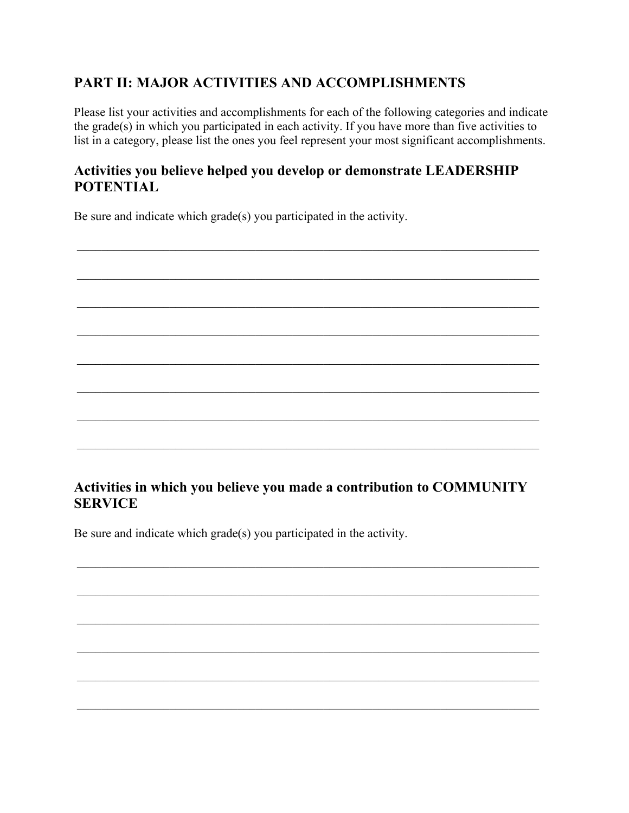### **PART II: MAJOR ACTIVITIES AND ACCOMPLISHMENTS**

Please list your activities and accomplishments for each of the following categories and indicate the grade(s) in which you participated in each activity. If you have more than five activities to list in a category, please list the ones you feel represent your most significant accomplishments.

### **Activities you believe helped you develop or demonstrate LEADERSHIP POTENTIAL**

Be sure and indicate which grade(s) you participated in the activity.

#### **Activities in which you believe you made a contribution to COMMUNITY SERVICE**

Be sure and indicate which grade(s) you participated in the activity.